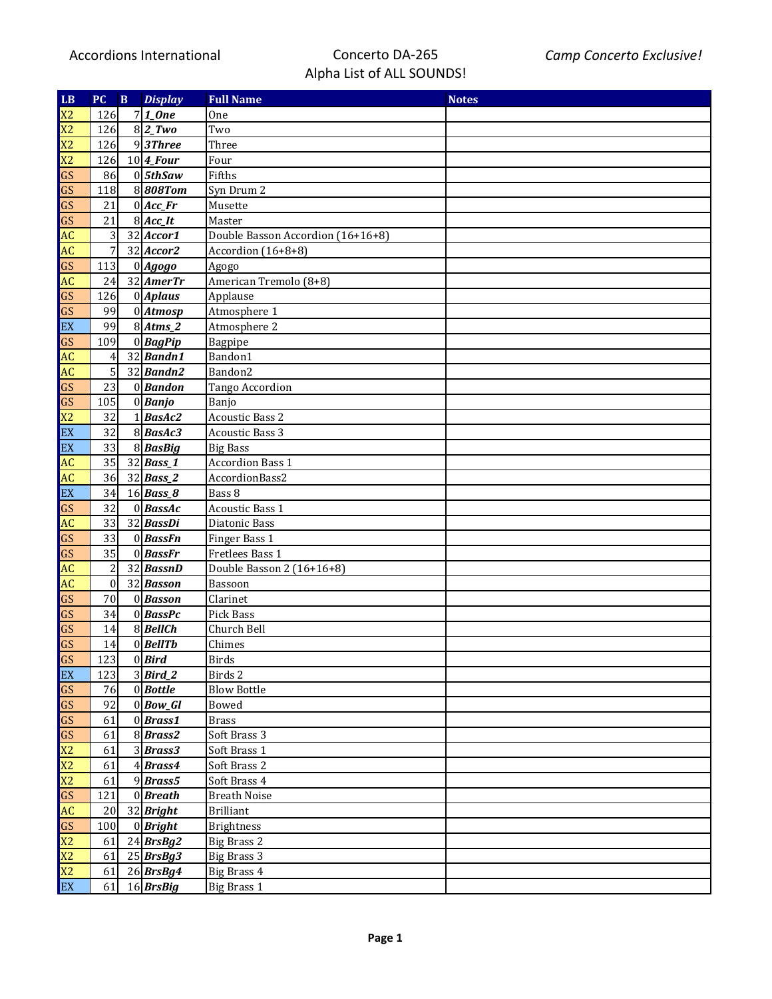| LB                         | PC.              | $\mathbf B$ | <b>Display</b>                | <b>Full Name</b>                  | <b>Notes</b> |
|----------------------------|------------------|-------------|-------------------------------|-----------------------------------|--------------|
| X <sub>2</sub>             | 126              |             | $7 1$ <sub>One</sub>          | One                               |              |
| X <sub>2</sub>             | 126              |             | $8 2_Tw$                      | Two                               |              |
| X <sub>2</sub>             | 126              |             | $\overline{9}$ 3Three         | Three                             |              |
| X2                         | 126              |             | $10 4$ Four                   | Four                              |              |
| GS                         | 86               |             | $0 $ 5thSaw                   | Fifths                            |              |
| GS                         | 118              |             | 8808Tom                       | Syn Drum 2                        |              |
| GS                         | 21               |             | $0$ <i>Acc_Fr</i>             | Musette                           |              |
| GS                         | 21               |             | $8$ <i>Acc_It</i>             | Master                            |              |
| AC                         | 3                |             | 32 Accor1                     | Double Basson Accordion (16+16+8) |              |
| AC                         | 7                |             | $32$ <i>Accor2</i>            | Accordion (16+8+8)                |              |
| GS                         | 113              |             | $0$ <i>Agogo</i>              | Agogo                             |              |
| AC                         | 24               |             | $32$ <i>AmerTr</i>            | American Tremolo (8+8)            |              |
| GS                         | 126              |             | $0$ <i>Aplaus</i>             | Applause                          |              |
| GS                         | 99               |             | $\overline{0}$ <i>Atmosp</i>  | Atmosphere 1                      |              |
| EX                         | 99               |             | $8$ <i>Atms_2</i>             | Atmosphere 2                      |              |
| GS                         | 109              |             | $\overline{0}$ <i>BagPip</i>  | Bagpipe                           |              |
| AC                         | 4                |             | $32$ <i>Bandn1</i>            | Bandon1                           |              |
| AC                         | 5                |             | $32$ <i>Bandn2</i>            | Bandon2                           |              |
| GS                         | 23               |             | $0$ <i>Bandon</i>             | Tango Accordion                   |              |
| GS                         | 105              |             | $\overline{0}$ <i>Banjo</i>   | Banjo                             |              |
| X2                         | 32               |             | $1 \vert$ <i>BasAc2</i>       | <b>Acoustic Bass 2</b>            |              |
| EX                         | 32               |             | $\overline{8}$ <i>BasAc3</i>  | <b>Acoustic Bass 3</b>            |              |
| EX                         | 33               |             | $8$ <i>BasBig</i>             | <b>Big Bass</b>                   |              |
| AC                         | 35               |             | $\overline{3}2$ <i>Bass_1</i> | <b>Accordion Bass 1</b>           |              |
| AC                         | 36               |             | $32$ <i>Bass<sub>2</sub></i>  | AccordionBass2                    |              |
| EX                         | 34               |             | $16$ <i>Bass_8</i>            | Bass 8                            |              |
| GS                         | 32               |             | $0$ <i>BassAc</i>             | <b>Acoustic Bass 1</b>            |              |
| AC                         | 33               |             | $32$ <i>BassDi</i>            | Diatonic Bass                     |              |
| GS                         | 33               |             | $0$ <i>BassFn</i>             | Finger Bass 1                     |              |
| GS                         | 35               |             | $0$ <i>BassFr</i>             | Fretlees Bass 1                   |              |
| AC                         | 2                |             | 32 <i>BassnD</i>              | Double Basson 2 (16+16+8)         |              |
| AC                         | $\boldsymbol{0}$ |             | 32 Basson                     | Bassoon                           |              |
| GS                         | 70               |             | $0$ <i>Basson</i>             | Clarinet                          |              |
| GS                         | 34               |             | $0$ <i>BassPc</i>             | Pick Bass                         |              |
| GS                         | 14               |             | $8$ <i>BellCh</i>             | Church Bell                       |              |
| GS                         | 14               |             | $0$ <i>BellTb</i>             | Chimes                            |              |
| GS                         | 123              |             | $0$ <i>Bird</i>               | <b>Birds</b>                      |              |
| EX                         | 123              |             | $3$ <i>Bird<sub>2</sub></i>   | Birds 2                           |              |
| GS                         | 76               |             | $0$ <i>Bottle</i>             | <b>Blow Bottle</b>                |              |
| GS                         | 92               |             | $0$ <i>Bow_Gl</i>             | Bowed                             |              |
| GS                         | 61               |             | $0$ <i>Brass1</i>             | <b>Brass</b>                      |              |
| GS                         | 61               |             | $8$ <i>Brass2</i>             | Soft Brass 3                      |              |
| X <sub>2</sub>             | 61               |             | $3$ <i>Brass3</i>             | Soft Brass 1                      |              |
| X <sub>2</sub>             | 61               |             | $4$ <i>Brass4</i>             | Soft Brass 2                      |              |
| X <sub>2</sub>             | 61               |             | $9$ <i>Brass5</i>             | Soft Brass 4                      |              |
| GS                         | 121              |             | $0$ <i>Breath</i>             | <b>Breath Noise</b>               |              |
| AC                         | 20               |             | $32$ <i>Bright</i>            | <b>Brilliant</b>                  |              |
| GS                         | 100              |             | $0$ <i>Bright</i>             | <b>Brightness</b>                 |              |
| X <sub>2</sub>             | 61               |             | $\overline{24}$ <i>BrsBg2</i> | <b>Big Brass 2</b>                |              |
| X <sub>2</sub>             | 61               |             | $25$ <i>BrsBg3</i>            | <b>Big Brass 3</b>                |              |
| X <sub>2</sub>             | 61               |             | $26$ <i>BrsBg4</i>            | <b>Big Brass 4</b>                |              |
| $\mathop{\rm EX}\nolimits$ | 61               |             | $16$ <i>BrsBig</i>            | Big Brass 1                       |              |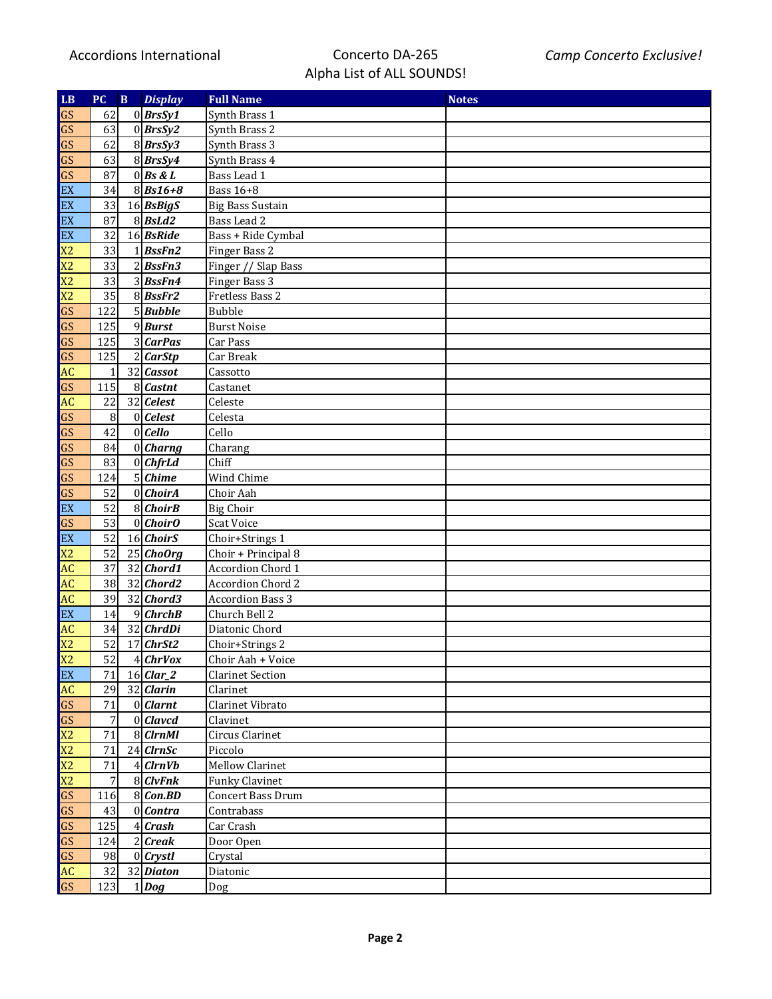| LB             | <b>PC</b> | $\mathbf{B}$ | <b>Display</b>     | <b>Full Name</b>              | <b>Notes</b> |
|----------------|-----------|--------------|--------------------|-------------------------------|--------------|
| GS             | 62        |              | $0$ <i>BrsSy1</i>  | Synth Brass 1                 |              |
| GS             | 63        |              | $0$ <i>BrsSy2</i>  | Synth Brass 2                 |              |
| GS             | 62        |              | $8$ <i>BrsSy3</i>  | Synth Brass 3                 |              |
| GS             | 63        |              | $8$ <i>BrsSy4</i>  | Synth Brass 4                 |              |
| GS             | 87        |              | $0$ Bs & L         | Bass Lead 1                   |              |
| EX             | 34        |              | $8 Bs16+8$         | <b>Bass 16+8</b>              |              |
| EX             | 33        |              | $16$ <i>BsBigS</i> | <b>Big Bass Sustain</b>       |              |
| EX             | 87        |              | $8$ <i>BsLd2</i>   | Bass Lead 2                   |              |
| EX             | 32        |              | $16$ <i>BsRide</i> | Bass + Ride Cymbal            |              |
| X <sub>2</sub> | 33        |              | $1$ <i>BssFn2</i>  | Finger Bass 2                 |              |
| X <sub>2</sub> | 33        |              | $2$ <i>BssFn3</i>  | Finger // Slap Bass           |              |
| X <sub>2</sub> | 33        |              | $3$ <i>BssFn4</i>  | Finger Bass 3                 |              |
| X <sub>2</sub> | 35        |              | $8$ <i>BssFr2</i>  | Fretless Bass 2               |              |
| GS             | 122       |              | $5$ <i>Bubble</i>  | <b>Bubble</b>                 |              |
| GS             | 125       |              | $9$ <i>Burst</i>   | <b>Burst Noise</b>            |              |
| GS             | 125       |              | 3 CarPas           | Car Pass                      |              |
| GS             | 125       |              | 2 CarStp           | $\overline{\text{Car}}$ Break |              |
| <b>AC</b>      | 1         |              | $32$ <i>Cassot</i> | Cassotto                      |              |
| GS             | 115       |              | $8$ <i>Castnt</i>  | Castanet                      |              |
| AC             | 22        |              | $32$ Celest        | Celeste                       |              |
| GS             | 8         |              | $0$ <i>Celest</i>  | Celesta                       |              |
| GS             | 42        |              | $0$   Cello        | Cello                         |              |
| GS             | 84        |              | $0$ <i>Charng</i>  | Charang                       |              |
| GS             | 83        |              | $0$ <i>ChfrLd</i>  | Chiff                         |              |
| GS             | 124       |              | $5$ Chime          | Wind Chime                    |              |
| GS             | 52        |              | $0$ <i>ChoirA</i>  | Choir Aah                     |              |
| EX             | 52        |              | $8$ <i>ChoirB</i>  | <b>Big Choir</b>              |              |
| GS             | 53        |              | $0$ <i>ChoirO</i>  | <b>Scat Voice</b>             |              |
| EX             | 52        |              | 16 ChoirS          | Choir+Strings 1               |              |
| X <sub>2</sub> | 52        |              | $25$ ChoOrg        | Choir + Principal 8           |              |
| <b>AC</b>      | 37        |              | $32$ <i>Chord1</i> | Accordion Chord 1             |              |
| <b>AC</b>      | 38        |              | $32$ <i>Chord2</i> | Accordion Chord 2             |              |
| <b>AC</b>      | 39        |              | $32$ <i>Chord3</i> | <b>Accordion Bass 3</b>       |              |
| EX             | 14        |              | $9$ ChrchB         | Church Bell 2                 |              |
| <b>AC</b>      | 34        |              | $32$ <i>ChrdDi</i> | Diatonic Chord                |              |
| X <sub>2</sub> | 52        |              | $17$ ChrSt2        | Choir+Strings 2               |              |
| X <sub>2</sub> | 52        |              | $4$ ChrVox         | Choir Aah + Voice             |              |
| EX             | 71        |              | $16$ <i>Clar_2</i> | <b>Clarinet Section</b>       |              |
| <b>AC</b>      | 29        |              | $32$ <i>Clarin</i> | Clarinet                      |              |
| GS             | 71        |              | $0$ <i>Clarnt</i>  | Clarinet Vibrato              |              |
| GS             | 7         |              | $0$ <i>Clavcd</i>  | Clavinet                      |              |
| X <sub>2</sub> | 71        |              | $8 C$ <i>IrnMI</i> | Circus Clarinet               |              |
| X <sub>2</sub> | 71        |              | $24$ ClrnSc        | Piccolo                       |              |
| X <sub>2</sub> | 71        |              | $4 C$ <i>IrnVb</i> | <b>Mellow Clarinet</b>        |              |
| X <sub>2</sub> | 7         |              | $8$ <i>ClvFnk</i>  | <b>Funky Clavinet</b>         |              |
| GS             | 116       |              | $8$ Con.BD         | <b>Concert Bass Drum</b>      |              |
| GS             | 43        |              | $0$ <i>Contra</i>  | Contrabass                    |              |
| GS             | 125       |              | $4$ Crash          | Car Crash                     |              |
| GS             | 124       |              | $2$ <i>Creak</i>   | Door Open                     |              |
| GS             | 98        |              | $0$ <i>Crystl</i>  | Crystal                       |              |
| <b>AC</b>      | 32        |              | 32 Diaton          | Diatonic                      |              |
| GS             | 123       |              | $1 $ <i>Dog</i>    | Dog                           |              |
|                |           |              |                    |                               |              |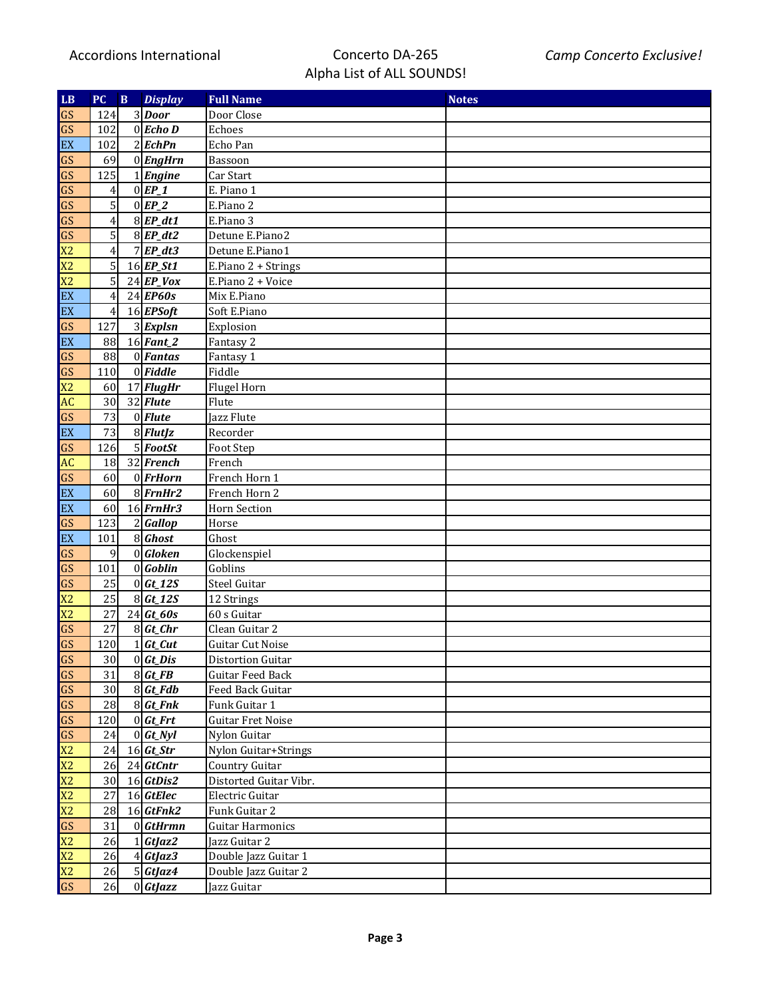| LB             | PC               | $\mathbf B$ | <b>Display</b>               | <b>Full Name</b>         | <b>Notes</b> |
|----------------|------------------|-------------|------------------------------|--------------------------|--------------|
| GS             | 124              |             | 3 Door                       | Door Close               |              |
| GS             | 102              |             | $0$ <i>Echo</i> D            | Echoes                   |              |
| EX             | 102              |             | $2$ <i>EchPn</i>             | Echo Pan                 |              |
| GS             | 69               |             | $0$ <i>EngHrn</i>            | Bassoon                  |              |
| GS             | 125              |             | $1$ <i>Engine</i>            | $\overline{C}$ ar Start  |              |
| GS             | $\left 4\right $ |             | $0$ $EP_1$                   | E. Piano 1               |              |
| GS             | $\mathbf{5}$     |             | $0$ $EP_2$                   | E.Piano 2                |              |
| GS             | $\left 4\right $ |             | $8$ <i>EP_dt1</i>            | E.Piano 3                |              |
| GS             | $\mathbf{5}$     |             | $8$ <i>EP_dt2</i>            | Detune E.Piano2          |              |
| X <sub>2</sub> | $\left 4\right $ |             | $7$ $EP_d$ t3                | Detune E.Piano1          |              |
| X <sub>2</sub> | $\mathbf{5}$     |             | $16$ <i>EP_St1</i>           | E.Piano 2 + Strings      |              |
| X <sub>2</sub> | $\mathbf{5}$     |             | $24$ EP_Vox                  | E.Piano 2 + Voice        |              |
| EX             | 4                |             | $24$ <i>EP60s</i>            | Mix E.Piano              |              |
| EX             | 4                |             | $16$ <i>EPSoft</i>           | Soft E.Piano             |              |
| GS             | 127              |             | $3$ <i>Explsn</i>            | Explosion                |              |
| EX             | 88               |             | $16$ Fant_2                  | Fantasy 2                |              |
| GS             | 88               |             | $\overline{0}$ <i>Fantas</i> | Fantasy 1                |              |
| GS             | 110              |             | $0$ <i>Fiddle</i>            | Fiddle                   |              |
| X <sub>2</sub> | 60               |             | $17$ FlugHr                  | Flugel Horn              |              |
| AC             | 30               |             | $32$ <i>Flute</i>            | Flute                    |              |
| GS             | 73               |             | $0$ <i>Flute</i>             | Jazz Flute               |              |
| EX             | 73               |             | $\overline{8}$ <i>FlutJz</i> | Recorder                 |              |
| GS             | 126              |             | $5$ <i>FootSt</i>            | Foot Step                |              |
| AC             | 18               |             | $32$ French                  | French                   |              |
| GS             | 60               |             | $0$ <i>FrHorn</i>            | French Horn 1            |              |
| EX             | 60               |             | $8$ <i>FrnHr2</i>            | French Horn 2            |              |
| EX             | 60               |             | $16$ <i>FrnHr3</i>           | <b>Horn Section</b>      |              |
| GS             | 123              |             | $2 G$ allop                  | Horse                    |              |
| EX             | 101              |             | $\overline{8}$ Ghost         | Ghost                    |              |
| GS             | 9                |             | $0 $ Gloken                  | Glockenspiel             |              |
| GS             | 101              |             | 0 Goblin                     | Goblins                  |              |
| GS             | 25               |             | $0 Gt_12S$                   | <b>Steel Guitar</b>      |              |
| X <sub>2</sub> | 25               |             | $8\,$ Gt_12S                 | 12 Strings               |              |
| X <sub>2</sub> | 27               |             | $24$ Gt_60s                  | 60 s Guitar              |              |
| GS             | 27               |             | $8\,$ Gt_Chr                 | Clean Guitar 2           |              |
| GS             | 120              |             | $1\, \mathbf{Gt}$ Cut        | Guitar Cut Noise         |              |
| GS             | 30               |             | $0 $ Gt_Dis                  | <b>Distortion Guitar</b> |              |
| GS             | 31               |             | $8\,$ Gt_FB                  | Guitar Feed Back         |              |
| GS             | 30               |             | $8 \, \text{Gt}_F$ db        | Feed Back Guitar         |              |
| GS             | 28               |             | $8$ <i>Gt_Fnk</i>            | Funk Guitar 1            |              |
| GS             | 120              |             | $0 $ Gt_Frt                  | <b>Guitar Fret Noise</b> |              |
| GS             | 24               |             | $0 $ Gt_Nyl                  | Nylon Guitar             |              |
| X <sub>2</sub> | 24               |             | $16$ <i>Gt_Str</i>           | Nylon Guitar+Strings     |              |
| X <sub>2</sub> | 26               |             | $24$ GtCntr                  | <b>Country Guitar</b>    |              |
| X <sub>2</sub> | 30               |             | 16 GtDis2                    | Distorted Guitar Vibr.   |              |
| X <sub>2</sub> | 27               |             | $16$ GtElec                  | Electric Guitar          |              |
| X <sub>2</sub> | 28               |             | $16$ GtFnk2                  | Funk Guitar 2            |              |
| GS             | 31               |             | $0 $ <i>GtHrmn</i>           | <b>Guitar Harmonics</b>  |              |
| X <sub>2</sub> | 26               |             | $1 Gt$ <i>Jaz2</i>           | Jazz Guitar 2            |              |
| X <sub>2</sub> | 26               |             | $4 Gt$ <i>Jaz3</i>           | Double Jazz Guitar 1     |              |
| X <sub>2</sub> | 26               |             | $5 Gt$ <i>Jaz4</i>           | Double Jazz Guitar 2     |              |
| GS             | 26               |             | $0$ <i>GtJazz</i>            | Jazz Guitar              |              |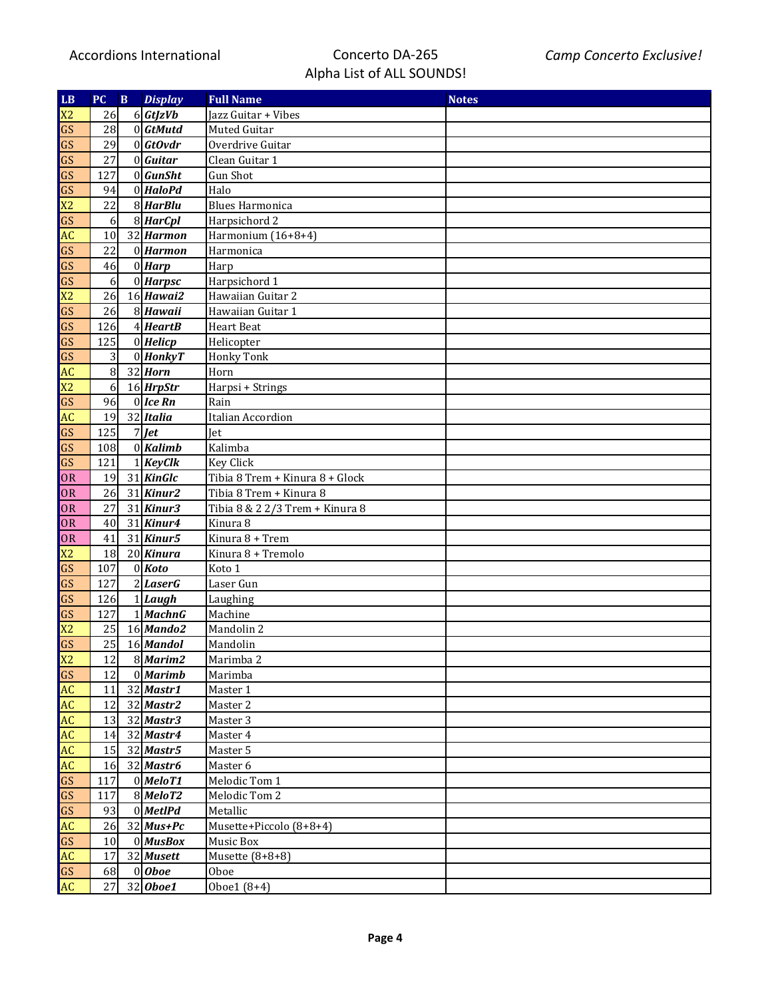| LB.            | PC        | $\mathbf{B}$ | <b>Display</b>         | <b>Full Name</b>                | <b>Notes</b> |
|----------------|-----------|--------------|------------------------|---------------------------------|--------------|
| X <sub>2</sub> | 26        |              | 6 GtJzVb               | Jazz Guitar + Vibes             |              |
| GS             | 28        |              | $0$ <i>GtMutd</i>      | Muted Guitar                    |              |
| GS             | 29        |              | $0 $ GtOvdr            | Overdrive Guitar                |              |
| GS             | 27        |              | $0$ <i>Guitar</i>      | Clean Guitar 1                  |              |
| GS             | 127       |              | $0$ <i>GunSht</i>      | <b>Gun Shot</b>                 |              |
| GS             | 94        |              | $\overline{0}$ HaloPd  | Halo                            |              |
| X <sub>2</sub> | 22        |              | $\overline{8}$ HarBlu  | <b>Blues Harmonica</b>          |              |
| GS             | $6 \mid$  |              | $8$ <i>HarCpl</i>      | Harpsichord 2                   |              |
| AC             | 10        |              | 32 Harmon              | Harmonium (16+8+4)              |              |
| GS             | 22        |              | $0$ <i>Harmon</i>      | Harmonica                       |              |
| GS             | 46        |              | $0$ <i>Harp</i>        | Harp                            |              |
| GS             | $6 \mid$  |              | $0$ <i>Harpsc</i>      | Harpsichord 1                   |              |
| X <sub>2</sub> | 26        |              | $16$ Hawai2            | Hawaiian Guitar 2               |              |
| GS             | 26        |              | $8$ <i>Hawaii</i>      | Hawaiian Guitar 1               |              |
| GS             | 126       |              | $4$ <i>HeartB</i>      | <b>Heart Beat</b>               |              |
| GS             | 125       |              | $0$ <i>Helicp</i>      | Helicopter                      |              |
| GS             | $\vert$ 3 |              | $0$ <i>HonkyT</i>      | <b>Honky Tonk</b>               |              |
| AC             | $\bf{8}$  |              | $32$ <i>Horn</i>       | Horn                            |              |
| X <sub>2</sub> | $6 \mid$  |              | $16$ HrpStr            | Harpsi + Strings                |              |
| GS             | 96        |              | $0$ <i>Ice Rn</i>      | Rain                            |              |
| AC             | 19        |              | 32 Italia              | Italian Accordion               |              |
| GS             | 125       |              | $7$ $\vert$ <i>Jet</i> | Jet                             |              |
| GS             | 108       |              | $0$ <i>Kalimb</i>      | Kalimba                         |              |
| GS             | 121       |              | $1$ <i>KeyClk</i>      | <b>Key Click</b>                |              |
| <b>OR</b>      | 19        |              | $31$ KinGlc            | Tibia 8 Trem + Kinura 8 + Glock |              |
| <b>OR</b>      | 26        |              | $31$ Kinur2            | Tibia 8 Trem + Kinura 8         |              |
| <b>OR</b>      | 27        |              | $31$ <i>Kinur3</i>     | Tibia 8 & 2 2/3 Trem + Kinura 8 |              |
| <b>OR</b>      | 40        |              | $\overline{31}$ Kinur4 | Kinura 8                        |              |
| <b>OR</b>      | 41        |              | $31$ Kinur5            | Kinura 8 + Trem                 |              |
| X <sub>2</sub> | 18        |              | $20$ <i>Kinura</i>     | Kinura 8 + Tremolo              |              |
| GS             | 107       |              | $0$ <i>Koto</i>        | Koto 1                          |              |
| GS             | 127       |              | $2$ <i>LaserG</i>      | Laser Gun                       |              |
| GS             | 126       |              | $1$ <i>Laugh</i>       | Laughing                        |              |
| GS             | 127       |              | $1$ <i>MachnG</i>      | Machine                         |              |
| X <sub>2</sub> | 25        |              | $16$ <i>Mando2</i>     | Mandolin 2                      |              |
| GS             | 25        |              | 16 Mandol              | Mandolin                        |              |
| X2             | 12        |              | $8$ <i>Marim2</i>      | Marimba 2                       |              |
| GS             | 12        |              | $0$ <i>Marimb</i>      | Marimba                         |              |
| <b>AC</b>      | 11        |              | $32$ <i>Mastr1</i>     | Master 1                        |              |
| <b>AC</b>      | 12        |              | $32$ Mastr2            | Master 2                        |              |
| <b>AC</b>      | 13        |              | $32$ <i>Mastr3</i>     | Master 3                        |              |
| <b>AC</b>      | 14        |              | 32 Mastr4              | Master 4                        |              |
| <b>AC</b>      | 15        |              | $32$ <i>Mastr5</i>     | Master 5                        |              |
| <b>AC</b>      | 16        |              | 32 Mastr6              | Master 6                        |              |
| GS             | 117       |              | $0$ <i>MeloT1</i>      | Melodic Tom 1                   |              |
| GS             | 117       |              | $8$ <i>MeloT2</i>      | Melodic Tom 2                   |              |
| GS             | 93        |              | $0$ <i>MetIPd</i>      | Metallic                        |              |
| <b>AC</b>      | 26        |              | $32$ <i>Mus+Pc</i>     | Musette+Piccolo (8+8+4)         |              |
| GS             | 10        |              | $0$ <i>MusBox</i>      | Music Box                       |              |
| <b>AC</b>      | 17        |              | 32 Musett              | Musette $(8+8+8)$               |              |
| GS             | 68        |              | $0$ Oboe               | Oboe                            |              |
| <b>AC</b>      | 27        |              | 32 Oboe1               | Oboe1 (8+4)                     |              |
|                |           |              |                        |                                 |              |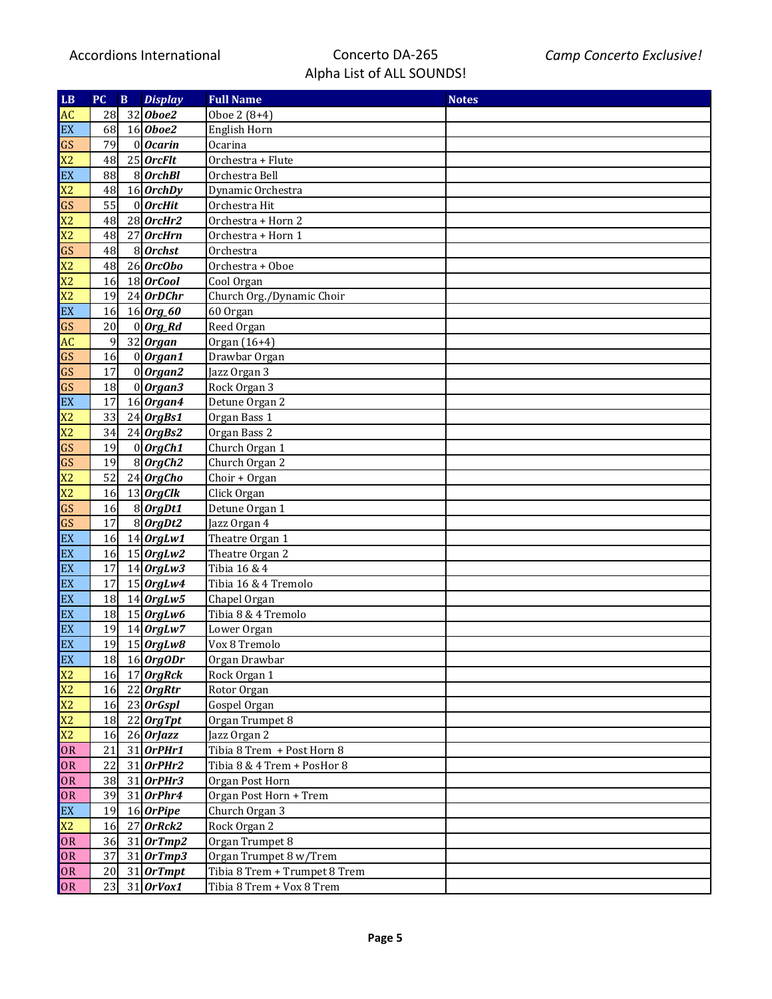| LB             | PC        | $\bf{B}$ | <b>Display</b>         | <b>Full Name</b>              | <b>Notes</b> |
|----------------|-----------|----------|------------------------|-------------------------------|--------------|
| <b>AC</b>      | 28        |          | $32$ <i>Oboe2</i>      | Oboe 2 (8+4)                  |              |
| EX             | 68        |          | $16$ <i>Oboe2</i>      | English Horn                  |              |
| GS             | 79        |          | $0$ <i>Ocarin</i>      | Ocarina                       |              |
| X <sub>2</sub> | 48        |          | $25$ <i>OrcFlt</i>     | Orchestra + Flute             |              |
| EX             | 88        |          | $8$ <i>OrchBl</i>      | Orchestra Bell                |              |
| X <sub>2</sub> | 48        |          | $16$ OrchDy            | Dynamic Orchestra             |              |
| GS             | 55        |          | $0$ <i>OrcHit</i>      | Orchestra Hit                 |              |
| X <sub>2</sub> | 48        |          | $28$ <i>OrcHr2</i>     | Orchestra + Horn 2            |              |
| X <sub>2</sub> | 48        |          | $27$ <i>OrcHrn</i>     | Orchestra + Horn 1            |              |
| GS             | 48        |          | $8$ <i>Orchst</i>      | Orchestra                     |              |
| X <sub>2</sub> | 48        |          | $26$ <i>OrcObo</i>     | Orchestra + Oboe              |              |
| X <sub>2</sub> | 16        |          | $18$ <i>OrCool</i>     | Cool Organ                    |              |
| X <sub>2</sub> | 19        |          | $24$ <i>OrDChr</i>     | Church Org./Dynamic Choir     |              |
| EX             | 16        |          | $16$ Org_60            | 60 Organ                      |              |
| GS             | 20        |          | $0$ <i>Org_Rd</i>      | Reed Organ                    |              |
| <b>AC</b>      | 9         |          | $32$ Organ             | Organ (16+4)                  |              |
| GS             | 16        |          | $0$   Organ1           | Drawbar Organ                 |              |
| GS             | 17        |          | $0$   Organ2           | Jazz Organ 3                  |              |
| GS             | 18        |          | $0$ Organ3             | Rock Organ 3                  |              |
| EX             | 17        |          | $16$ Organ4            | Detune Organ 2                |              |
| X <sub>2</sub> | 33        |          | $24$ OrgBs1            | Organ Bass 1                  |              |
| X <sub>2</sub> | 34        |          | $24$ OrgBs2            | Organ Bass 2                  |              |
| GS             | 19        |          | $0$ OrgCh1             | Church Organ 1                |              |
| GS             | 19        |          | $8$ OrgCh <sub>2</sub> | Church Organ 2                |              |
| X <sub>2</sub> | 52        |          | $24$ OrgCho            | Choir + Organ                 |              |
| X <sub>2</sub> | 16        |          | $13$ <i>OrgClk</i>     | Click Organ                   |              |
| GS             | 16        |          | $8$ OrgDt1             | Detune Organ 1                |              |
| GS             | 17        |          | $8$ OrgDt2             | Jazz Organ 4                  |              |
| EX             | 16        |          | $14$ OrgLw1            | Theatre Organ 1               |              |
| EX             | 16        |          | $15$ <i>OrgLw2</i>     | Theatre Organ 2               |              |
| EX             | 17        |          | $14$ OrgLw3            | Tibia 16 & 4                  |              |
| EX             | 17        |          | $15$ OrgLw4            | Tibia 16 & 4 Tremolo          |              |
| EX             | 18        |          | $14$ OrgLw5            | Chapel Organ                  |              |
| EX             | 18        |          | $15$ OrgLw6            | Tibia 8 & 4 Tremolo           |              |
| EX             | 19        |          | $14$ OrgLw7            | Lower Organ                   |              |
| EX             | 19        |          | $15$ OrgLw8            | Vox 8 Tremolo                 |              |
| EX             | 18        |          | 16 OrgODr              | Organ Drawbar                 |              |
| X2             | <b>16</b> |          | $17$ OrgRck            | Rock Organ 1                  |              |
| X <sub>2</sub> | 16        |          | $22$ <i>OrgRtr</i>     | Rotor Organ                   |              |
| X <sub>2</sub> | 16        |          | $23$ OrGspl            | Gospel Organ                  |              |
| X <sub>2</sub> | 18        |          | $22$ <i>OrgTpt</i>     | Organ Trumpet 8               |              |
| X2             | 16        |          | $26$ OrJazz            | Jazz Organ 2                  |              |
| <b>OR</b>      | 21        |          | $31$ OrPHr1            | Tibia 8 Trem + Post Horn 8    |              |
| OR             | 22        |          | $31$ OrPHr2            | Tibia 8 & 4 Trem + PosHor 8   |              |
| OR             | 38        |          | $31$ OrPHr3            | Organ Post Horn               |              |
| OR             | 39        |          | $31$ OrPhr4            | Organ Post Horn + Trem        |              |
| EX             | 19        |          | $16$ OrPipe            | Church Organ 3                |              |
| X <sub>2</sub> | 16        |          | $27$ OrRck2            | Rock Organ 2                  |              |
| <b>OR</b>      | 36        |          | $31$ OrTmp2            | Organ Trumpet 8               |              |
| <b>OR</b>      | 37        |          | $31$ OrTmp3            | Organ Trumpet 8 w/Trem        |              |
| <b>OR</b>      | 20        |          | $31$ OrTmpt            | Tibia 8 Trem + Trumpet 8 Trem |              |
| <b>OR</b>      | 23        |          | $31$ <i>OrVox1</i>     | Tibia 8 Trem + Vox 8 Trem     |              |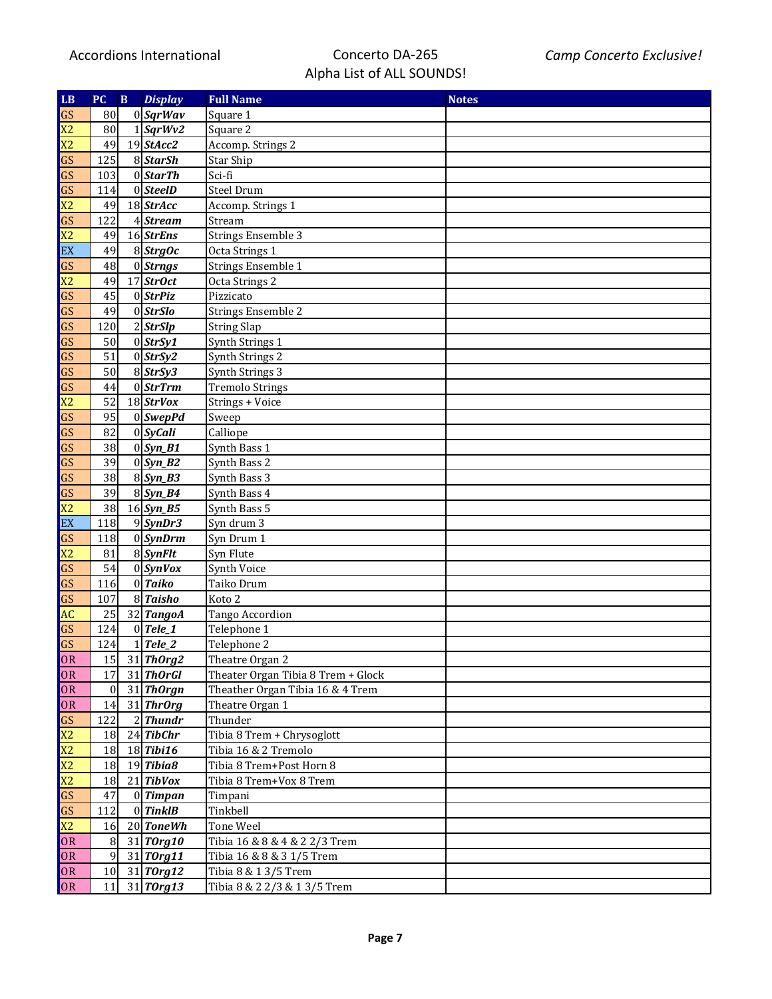| LB             | PC               | $\, {\bf B}$ | <b>Display</b>          | <b>Full Name</b>                   | <b>Notes</b> |
|----------------|------------------|--------------|-------------------------|------------------------------------|--------------|
| GS             | 80               |              | 0 SqrWav                | Square 1                           |              |
| X <sub>2</sub> | 80               |              | $1$ SqrWv2              | Square 2                           |              |
| X <sub>2</sub> | 49               |              | $19$ StAcc2             | Accomp. Strings 2                  |              |
| GS             | 125              |              | 8 <i>StarSh</i>         | <b>Star Ship</b>                   |              |
| GS             | 103              |              | 0 Start                 | Sci-fi                             |              |
| GS             | 114              |              | $0$ SteelD              | Steel Drum                         |              |
| X <sub>2</sub> | 49               |              | $18$ StrAcc             | Accomp. Strings 1                  |              |
| GS             | 122              |              | $4$ Stream              | Stream                             |              |
| X <sub>2</sub> | 49               |              | $16$ StrEns             | <b>Strings Ensemble 3</b>          |              |
| EX             | 49               |              | $8$ <i>StrgOc</i>       | Octa Strings 1                     |              |
| GS             | 48               |              | 0 Strngs                | Strings Ensemble 1                 |              |
| X <sub>2</sub> | 49               |              | $17$ StrOct             | Octa Strings 2                     |              |
| GS             | 45               |              | $0$ <i>StrPiz</i>       | Pizzicato                          |              |
| GS             | 49               |              | $0$ <i>StrSlo</i>       | Strings Ensemble 2                 |              |
| GS             | 120              |              | $2$ <i>StrSlp</i>       | <b>String Slap</b>                 |              |
| GS             | 50               |              | $0$ <i>StrSy1</i>       | Synth Strings 1                    |              |
| GS             | 51               |              | $0$ <i>StrSy2</i>       | Synth Strings 2                    |              |
| GS             | 50               |              | $8$ StrSy3              | Synth Strings 3                    |              |
| GS             | 44               |              | $0$ <i>StrTrm</i>       | <b>Tremolo Strings</b>             |              |
| X <sub>2</sub> | 52               |              | $18$ StrVox             | Strings + Voice                    |              |
| GS             | 95               |              | $0$ SwepPd              | Sweep                              |              |
| GS             | 82               |              | $0 \mid SyCali$         | Calliope                           |              |
| GS             | 38               |              | $\overline{0}$ Syn_B1   | Synth Bass 1                       |              |
| GS             | 39               |              | $0 \mid Sym_B2$         | Synth Bass 2                       |              |
| GS             | 38               |              | $8$ <i>Syn_B3</i>       | Synth Bass 3                       |              |
| GS             | 39               |              | $8\sqrt{\text{Syn}_B4}$ | Synth Bass 4                       |              |
| X <sub>2</sub> | 38               |              | $16$ Syn_B5             | Synth Bass 5                       |              |
| EX             | 118              |              | $9$ <i>SynDr3</i>       | $\overline{\text{S}}$ vn drum 3    |              |
| GS             | 118              |              | $0 \mid$ SynDrm         | Syn Drum 1                         |              |
| X <sub>2</sub> | 81               |              | $8$ <i>SynFlt</i>       | Syn Flute                          |              |
| GS             | 54               |              | $0 \mid$ SynVox         | Synth Voice                        |              |
| GS             | 116              |              | $0$ Taiko               | Taiko Drum                         |              |
| GS             | 107              |              | 8 Taisho                | Koto 2                             |              |
| <b>AC</b>      | 25               |              | 32 TangoA               | Tango Accordion                    |              |
| GS             | 124              |              | $0$ Tele_1              | Telephone 1                        |              |
| GS             | 124              |              | Tele_2                  | Telephone 2                        |              |
| OR             | 15               |              | $31$ ThOrg2             | Theatre Organ 2                    |              |
| OR             | 17               |              | $31$ ThorGl             | Theater Organ Tibia 8 Trem + Glock |              |
| OR             | $\boldsymbol{0}$ |              | $31$ Thorgn             | Theather Organ Tibia 16 & 4 Trem   |              |
| OR             | 14               |              | $31$ ThrOrg             | Theatre Organ 1                    |              |
| GS             | 122              |              | $2$ <i>Thundr</i>       | Thunder                            |              |
| X2             | 18               |              | $24$ TibChr             | Tibia 8 Trem + Chrysoglott         |              |
| X2             | 18               |              | $18$ Tibi16             | Tibia 16 & 2 Tremolo               |              |
| X2             | 18               |              | $\overline{19}$ Tibia8  | Tibia 8 Trem+Post Horn 8           |              |
| X2             | 18               |              | $\overline{21}$ TibVox  | Tibia 8 Trem+Vox 8 Trem            |              |
| GS             | 47               |              | $0$ Timpan              | Timpani                            |              |
| GS             | 112              |              | $0$ <i>TinklB</i>       | Tinkbell                           |              |
| X2             | 16               |              | $20$ ToneWh             | Tone Weel                          |              |
| OR             | 8                |              | $31$ TOrg10             | Tibia 16 & 8 & 4 & 2 2/3 Trem      |              |
| OR             | 9                |              | $31$ TOrg11             | Tibia 16 & 8 & 3 1/5 Trem          |              |
| OR             | 10               |              | $31$ TOrg12             | Tibia 8 & 1 3/5 Trem               |              |
| <b>OR</b>      | 11               |              | $31$ TOrg13             | Tibia 8 & 2 2/3 & 1 3/5 Trem       |              |